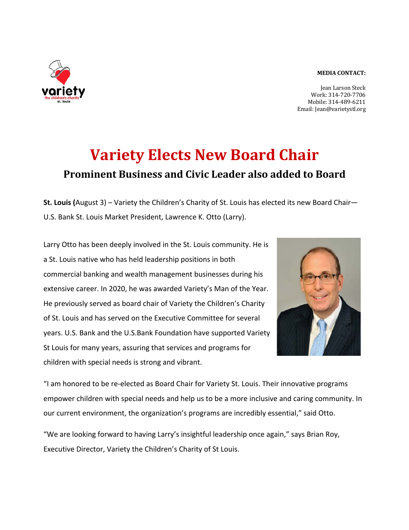## **MEDIA CONTACT:**



## **Variety Elects New Board Chair Prominent Business and Civic Leader also added to Board**

**St. Louis (**August 3) – Variety the Children's Charity of St. Louis has elected its new Board Chair— U.S. Bank St. Louis Market President, Lawrence K. Otto (Larry).

Larry Otto has been deeply involved in the St. Louis community. He is a St. Louis native who has held leadership positions in both commercial banking and wealth management businesses during his extensive career. In 2020, he was awarded Variety's Man of the Year. He previously served as board chair of Variety the Children's Charity of St. Louis and has served on the Executive Committee for several years. U.S. Bank and the U.S.Bank Foundation have supported Variety St Louis for many years, assuring that services and programs for children with special needs is strong and vibrant.



"I am honored to be re-elected as Board Chair for Variety St. Louis. Their innovative programs empower children with special needs and help us to be a more inclusive and caring community. In our current environment, the organization's programs are incredibly essential," said Otto.

"We are looking forward to having Larry's insightful leadership once again," says Brian Roy, Executive Director, Variety the Children's Charity of St Louis.